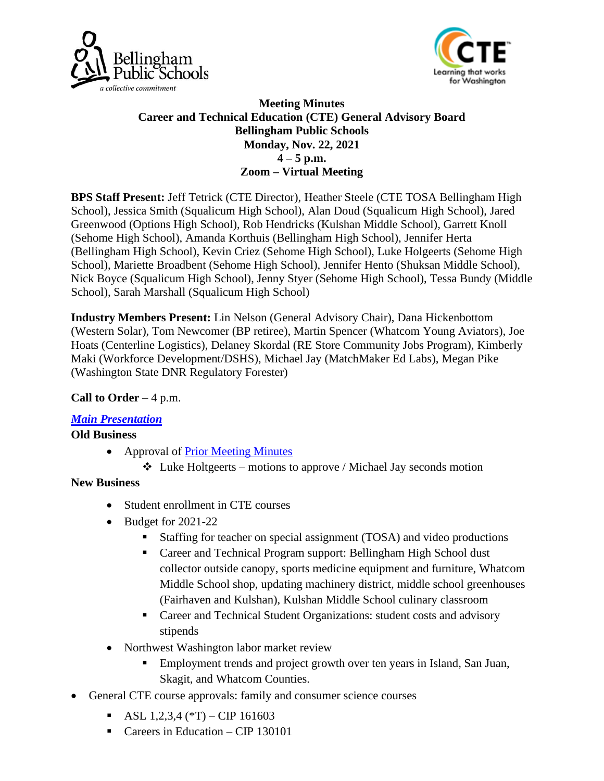



### **Meeting Minutes Career and Technical Education (CTE) General Advisory Board Bellingham Public Schools Monday, Nov. 22, 2021**  $4 - 5$  p.m. **Zoom – Virtual Meeting**

**BPS Staff Present:** Jeff Tetrick (CTE Director), Heather Steele (CTE TOSA Bellingham High School), Jessica Smith (Squalicum High School), Alan Doud (Squalicum High School), Jared Greenwood (Options High School), Rob Hendricks (Kulshan Middle School), Garrett Knoll (Sehome High School), Amanda Korthuis (Bellingham High School), Jennifer Herta (Bellingham High School), Kevin Criez (Sehome High School), Luke Holgeerts (Sehome High School), Mariette Broadbent (Sehome High School), Jennifer Hento (Shuksan Middle School), Nick Boyce (Squalicum High School), Jenny Styer (Sehome High School), Tessa Bundy (Middle School), Sarah Marshall (Squalicum High School)

**Industry Members Present:** Lin Nelson (General Advisory Chair), Dana Hickenbottom (Western Solar), Tom Newcomer (BP retiree), Martin Spencer (Whatcom Young Aviators), Joe Hoats (Centerline Logistics), Delaney Skordal (RE Store Community Jobs Program), Kimberly Maki (Workforce Development/DSHS), Michael Jay (MatchMaker Ed Labs), Megan Pike (Washington State DNR Regulatory Forester)

# **Call to Order** – 4 p.m.

#### *[Main Presentation](http://bellinghamschools.org/wp-content/uploads/2021/11/Fall-2021-PowerPoint-Presentation.pdf)*

#### **Old Business**

- Approval of [Prior Meeting Minutes](https://bellinghamschools.org/wp-content/uploads/2021/05/Advisory-Board-Meeting-Minutes-51821.pdf)
	- $\triangleleft$  Luke Holtgeerts motions to approve / Michael Jay seconds motion

#### **New Business**

- Student enrollment in CTE courses
- Budget for 2021-22
	- Staffing for teacher on special assignment (TOSA) and video productions
	- Career and Technical Program support: Bellingham High School dust collector outside canopy, sports medicine equipment and furniture, Whatcom Middle School shop, updating machinery district, middle school greenhouses (Fairhaven and Kulshan), Kulshan Middle School culinary classroom
	- Career and Technical Student Organizations: student costs and advisory stipends
- Northwest Washington labor market review
	- Employment trends and project growth over ten years in Island, San Juan, Skagit, and Whatcom Counties.
- General CTE course approvals: family and consumer science courses
	- $\blacksquare$  ASL 1,2,3,4 (\*T) CIP 161603
	- Careers in Education CIP 130101